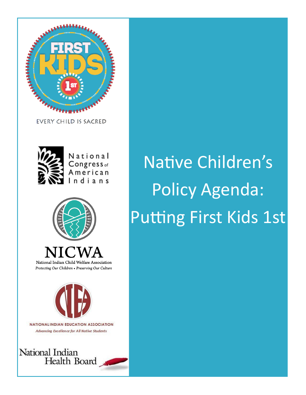

**EVERY CHILD IS SACRED** 



National Congress<sub>of</sub> American Indians



National Indian Child Welfare Association Protecting Our Children • Preserving Our Culture



**NATIONALINDIAN EDUCATION ASSOCIATION Advancing Excellence for All Native Students** 



# Native Children's Policy Agenda: Putting First Kids 1st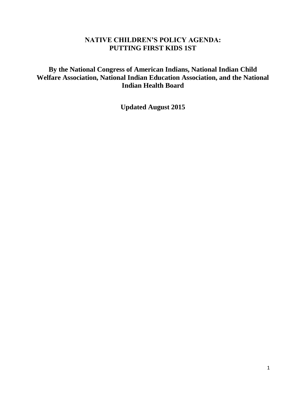# **NATIVE CHILDREN'S POLICY AGENDA: PUTTING FIRST KIDS 1ST**

# **By the National Congress of American Indians, National Indian Child Welfare Association, National Indian Education Association, and the National Indian Health Board**

**Updated August 2015**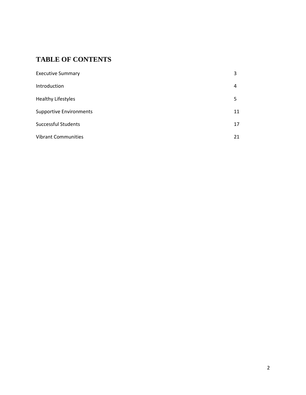# **TABLE OF CONTENTS**

| <b>Executive Summary</b>       | 3  |
|--------------------------------|----|
| Introduction                   | 4  |
| <b>Healthy Lifestyles</b>      | 5  |
| <b>Supportive Environments</b> | 11 |
| <b>Successful Students</b>     | 17 |
| <b>Vibrant Communities</b>     | 21 |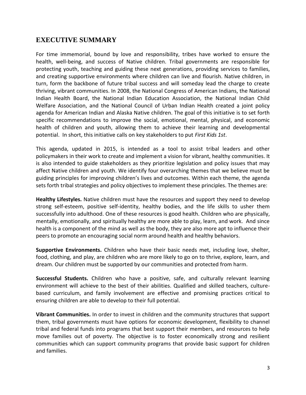# **EXECUTIVE SUMMARY**

For time immemorial, bound by love and responsibility, tribes have worked to ensure the health, well-being, and success of Native children. Tribal governments are responsible for protecting youth, teaching and guiding these next generations, providing services to families, and creating supportive environments where children can live and flourish. Native children, in turn, form the backbone of future tribal success and will someday lead the charge to create thriving, vibrant communities. In 2008, the National Congress of American Indians, the National Indian Health Board, the National Indian Education Association, the National Indian Child Welfare Association, and the National Council of Urban Indian Health created a joint policy agenda for American Indian and Alaska Native children. The goal of this initiative is to set forth specific recommendations to improve the social, emotional, mental, physical, and economic health of children and youth, allowing them to achieve their learning and developmental potential. In short, this initiative calls on key stakeholders to put *First Kids 1st*.

This agenda, updated in 2015, is intended as a tool to assist tribal leaders and other policymakers in their work to create and implement a vision for vibrant, healthy communities. It is also intended to guide stakeholders as they prioritize legislation and policy issues that may affect Native children and youth. We identify four overarching themes that we believe must be guiding principles for improving children's lives and outcomes. Within each theme, the agenda sets forth tribal strategies and policy objectives to implement these principles. The themes are:

**Healthy Lifestyles.** Native children must have the resources and support they need to develop strong self-esteem, positive self-identity, healthy bodies, and the life skills to usher them successfully into adulthood. One of these resources is good health. Children who are physically, mentally, emotionally, and spiritually healthy are more able to play, learn, and work. And since health is a component of the mind as well as the body, they are also more apt to influence their peers to promote an encouraging social norm around health and healthy behaviors.

**Supportive Environments.** Children who have their basic needs met, including love, shelter, food, clothing, and play, are children who are more likely to go on to thrive, explore, learn, and dream. Our children must be supported by our communities and protected from harm.

**Successful Students.** Children who have a positive, safe, and culturally relevant learning environment will achieve to the best of their abilities. Qualified and skilled teachers, culturebased curriculum, and family involvement are effective and promising practices critical to ensuring children are able to develop to their full potential.

**Vibrant Communities.** In order to invest in children and the community structures that support them, tribal governments must have options for economic development, flexibility to channel tribal and federal funds into programs that best support their members, and resources to help move families out of poverty. The objective is to foster economically strong and resilient communities which can support community programs that provide basic support for children and families.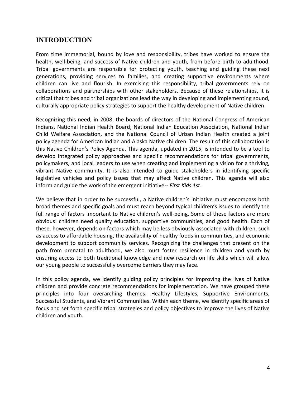# **INTRODUCTION**

From time immemorial, bound by love and responsibility, tribes have worked to ensure the health, well‐being, and success of Native children and youth, from before birth to adulthood. Tribal governments are responsible for protecting youth, teaching and guiding these next generations, providing services to families, and creating supportive environments where children can live and flourish. In exercising this responsibility, tribal governments rely on collaborations and partnerships with other stakeholders. Because of these relationships, it is critical that tribes and tribal organizations lead the way in developing and implementing sound, culturally appropriate policy strategies to support the healthy development of Native children.

Recognizing this need, in 2008, the boards of directors of the National Congress of American Indians, National Indian Health Board, National Indian Education Association, National Indian Child Welfare Association, and the National Council of Urban Indian Health created a joint policy agenda for American Indian and Alaska Native children. The result of this collaboration is this Native Children's Policy Agenda. This agenda, updated in 2015, is intended to be a tool to develop integrated policy approaches and specific recommendations for tribal governments, policymakers, and local leaders to use when creating and implementing a vision for a thriving, vibrant Native community. It is also intended to guide stakeholders in identifying specific legislative vehicles and policy issues that may affect Native children. This agenda will also inform and guide the work of the emergent initiative-- *First Kids 1st*.

We believe that in order to be successful, a Native children's initiative must encompass both broad themes and specific goals and must reach beyond typical children's issues to identify the full range of factors important to Native children's well-being. Some of these factors are more obvious: children need quality education, supportive communities, and good health. Each of these, however, depends on factors which may be less obviously associated with children, such as access to affordable housing, the availability of healthy foods in communities, and economic development to support community services. Recognizing the challenges that present on the path from prenatal to adulthood, we also must foster resilience in children and youth by ensuring access to both traditional knowledge and new research on life skills which will allow our young people to successfully overcome barriers they may face.

In this policy agenda, we identify guiding policy principles for improving the lives of Native children and provide concrete recommendations for implementation. We have grouped these principles into four overarching themes: Healthy Lifestyles, Supportive Environments, Successful Students, and Vibrant Communities. Within each theme, we identify specific areas of focus and set forth specific tribal strategies and policy objectives to improve the lives of Native children and youth.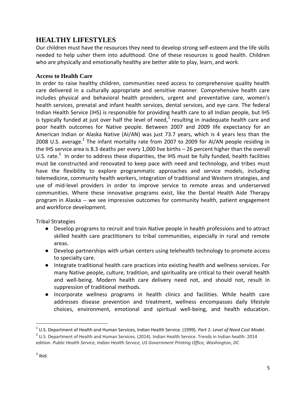# **HEALTHY LIFESTYLES**

Our children must have the resources they need to develop strong self‐esteem and the life skills needed to help usher them into adulthood. One of these resources is good health. Children who are physically and emotionally healthy are better able to play, learn, and work.

#### **Access to Health Care**

In order to raise healthy children, communities need access to comprehensive quality health care delivered in a culturally appropriate and sensitive manner. Comprehensive health care includes physical and behavioral health providers, urgent and preventative care, women's health services, prenatal and infant health services, dental services, and eye care. The federal Indian Health Service (IHS) is responsible for providing health care to all Indian people, but IHS is typically funded at just over half the level of need,<sup>1</sup> resulting in inadequate health care and poor health outcomes for Native people. Between 2007 and 2009 life expectancy for an American Indian or Alaska Native (AI/AN) was just 73.7 years, which is 4 years less than the 2008 U.S. average.<sup>2</sup> The infant mortality rate from 2007 to 2009 for AI/AN people residing in the IHS service area is 8.3 deaths per every 1,000 live births – 26 percent higher than the overall U.S. rate. $^3$  In order to address these disparities, the IHS must be fully funded, health facilities must be constructed and renovated to keep pace with need and technology, and tribes must have the flexibility to explore programmatic approaches and service models, including telemedicine, community health workers, integration of traditional and Western strategies, and use of mid‐level providers in order to improve service to remote areas and underserved communities. Where these innovative programs exist, like the Dental Health Aide Therapy program in Alaska -- we see impressive outcomes for community health, patient engagement and workforce development.

Tribal Strategies

- Develop programs to recruit and train Native people in health professions and to attract skilled health care practitioners to tribal communities, especially in rural and remote areas.
- Develop partnerships with urban centers using telehealth technology to promote access to specialty care.
- Integrate traditional health care practices into existing health and wellness services. For many Native people, culture, tradition, and spirituality are critical to their overall health and well-being. Modern health care delivery need not, and should not, result in suppression of traditional methods.
- Incorporate wellness programs in health clinics and facilities. While health care addresses disease prevention and treatment, wellness encompasses daily lifestyle choices, environment, emotional and spiritual well‐being, and health education.

<sup>1</sup> U.S. Department of Health and Human Services, Indian Health Service. (1999). *Part 1: Level of Need Cost Model.*  $^2$  U.S. Department of Health and Human Services. (2014). Indian Health Service. Trends in Indian health: 2014 edition. *Public Health Service, Indian Health Service, US Government Printing Office, Washington, DC*.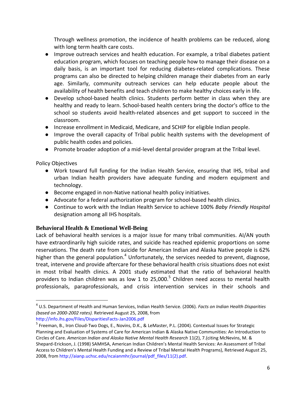Through wellness promotion, the incidence of health problems can be reduced, along with long term health care costs.

- Improve outreach services and health education. For example, a tribal diabetes patient education program, which focuses on teaching people how to manage their disease on a daily basis, is an important tool for reducing diabetes‐related complications. These programs can also be directed to helping children manage their diabetes from an early age. Similarly, community outreach services can help educate people about the availability of health benefits and teach children to make healthy choices early in life.
- Develop school-based health clinics. Students perform better in class when they are healthy and ready to learn. School‐based health centers bring the doctor's office to the school so students avoid health‐related absences and get support to succeed in the classroom.
- Increase enrollment in Medicaid, Medicare, and SCHIP for eligible Indian people.
- Improve the overall capacity of Tribal public health systems with the development of public health codes and policies.
- Promote broader adoption of a mid-level dental provider program at the Tribal level.

Policy Objectives

 $\overline{\phantom{a}}$ 

- Work toward full funding for the Indian Health Service, ensuring that IHS, tribal and urban Indian health providers have adequate funding and modern equipment and technology.
- Become engaged in non-Native national health policy initiatives.
- Advocate for a federal authorization program for school-based health clinics.
- Continue to work with the Indian Health Service to achieve 100% *Baby Friendly Hospital* designation among all IHS hospitals.

## **Behavioral Health & Emotional Well-Being**

Lack of behavioral health services is a major issue for many tribal communities. AI/AN youth have extraordinarily high suicide rates, and suicide has reached epidemic proportions on some reservations. The death rate from suicide for American Indian and Alaska Native people is 62% higher than the general population.<sup>4</sup> Unfortunately, the services needed to prevent, diagnose, treat, intervene and provide aftercare for these behavioral health crisis situations does not exist in most tribal health clinics. A 2001 study estimated that the ratio of behavioral health providers to Indian children was as low 1 to 25,000.<sup>5</sup> Children need access to mental health professionals, paraprofessionals, and crisis intervention services in their schools and

<sup>4</sup> U.S. Department of Health and Human Services, Indian Health Service. (2006). *Facts on Indian Health Disparities (based on 2000‐2002 rates).* Retrieved August 25, 2008, from

http://info.ihs.gov/Files/DisparitiesFacts‐Jan2006.pdf

<sup>&</sup>lt;sup>5</sup> Freeman, B., Iron Cloud-Two Dogs, E., Novins, D.K., & LeMaster, P.L. (2004). Contextual Issues for Strategic Planning and Evaluation of Systems of Care for American Indian & Alaska Native Communities: An Introduction to Circles of Care. *American Indian and Alaska Native Mental Health Research* 11(2), 7.(citing McNevins, M. & Shepard‐Erickson, J. (1998) SAMHSA, American Indian Children's Mental Health Services: An Assessment of Tribal Access to Children's Mental Health Funding and a Review of Tribal Mental Health Programs), Retrieved August 25, 2008, from http://aianp.uchsc.edu/ncaianmhr/journal/pdf\_files/11(2).pdf.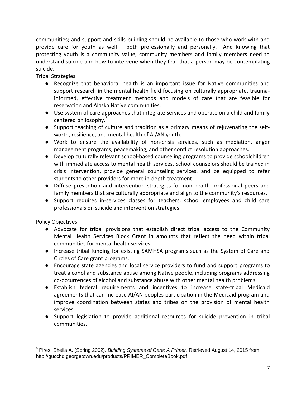communities; and support and skills-building should be available to those who work with and provide care for youth as well – both professionally and personally. And knowing that protecting youth is a community value, community members and family members need to understand suicide and how to intervene when they fear that a person may be contemplating suicide.

Tribal Strategies

- Recognize that behavioral health is an important issue for Native communities and support research in the mental health field focusing on culturally appropriate, traumainformed, effective treatment methods and models of care that are feasible for reservation and Alaska Native communities.
- Use system of care approaches that integrate services and operate on a child and family centered philosophy.<sup>6</sup>
- Support teaching of culture and tradition as a primary means of rejuvenating the selfworth, resilience, and mental health of AI/AN youth.
- Work to ensure the availability of non-crisis services, such as mediation, anger management programs, peacemaking, and other conflict resolution approaches.
- Develop culturally relevant school-based counseling programs to provide schoolchildren with immediate access to mental health services. School counselors should be trained in crisis intervention, provide general counseling services, and be equipped to refer students to other providers for more in‐depth treatment.
- Diffuse prevention and intervention strategies for non-health professional peers and family members that are culturally appropriate and align to the community's resources.
- Support requires in-services classes for teachers, school employees and child care professionals on suicide and intervention strategies.

Policy Objectives

- Advocate for tribal provisions that establish direct tribal access to the Community Mental Health Services Block Grant in amounts that reflect the need within tribal communities for mental health services.
- Increase tribal funding for existing SAMHSA programs such as the System of Care and Circles of Care grant programs.
- Encourage state agencies and local service providers to fund and support programs to treat alcohol and substance abuse among Native people, including programs addressing co‐occurrences of alcohol and substance abuse with other mental health problems.
- Establish federal requirements and incentives to increase state-tribal Medicaid agreements that can increase AI/AN peoples participation in the Medicaid program and improve coordination between states and tribes on the provision of mental health services.
- Support legislation to provide additional resources for suicide prevention in tribal communities.

<sup>6</sup> Pires, Sheila A. (Spring 2002). *Building Systems of Care: A Primer*. Retrieved August 14, 2015 from http://gucchd.georgetown.edu/products/PRIMER\_CompleteBook.pdf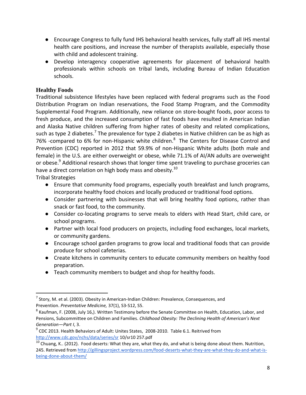- Encourage Congress to fully fund IHS behavioral health services, fully staff all IHS mental health care positions, and increase the number of therapists available, especially those with child and adolescent training.
- Develop interagency cooperative agreements for placement of behavioral health professionals within schools on tribal lands, including Bureau of Indian Education schools.

## **Healthy Foods**

Traditional subsistence lifestyles have been replaced with federal programs such as the Food Distribution Program on Indian reservations, the Food Stamp Program, and the Commodity Supplemental Food Program. Additionally, new reliance on store‐bought foods, poor access to fresh produce, and the increased consumption of fast foods have resulted in American Indian and Alaska Native children suffering from higher rates of obesity and related complications, such as type 2 diabetes.<sup>7</sup> The prevalence for type 2 diabetes in Native children can be as high as 76% -compared to 6% for non-Hispanic white children. $^8$  The Centers for Disease Control and Prevention (CDC) reported in 2012 that 59.9% of non-Hispanic White adults (both male and female) in the U.S. are either overweight or obese, while 71.1% of AI/AN adults are overweight or obese.<sup>9</sup> Additional research shows that longer time spent traveling to purchase groceries can have a direct correlation on high body mass and obesity.<sup>10</sup>

Tribal Strategies

- Ensure that community food programs, especially youth breakfast and lunch programs, incorporate healthy food choices and locally produced or traditional food options.
- Consider partnering with businesses that will bring healthy food options, rather than snack or fast food, to the community.
- Consider co-locating programs to serve meals to elders with Head Start, child care, or school programs.
- Partner with local food producers on projects, including food exchanges, local markets, or community gardens.
- Encourage school garden programs to grow local and traditional foods that can provide produce for school cafeterias.
- Create kitchens in community centers to educate community members on healthy food preparation.
- Teach community members to budget and shop for healthy foods.

<sup>&</sup>lt;sup>7</sup> Story, M. et al. (2003). Obesity in American-Indian Children: Prevalence, Consequences, and Prevention. *Preventative Medicine,* 37(1), S3‐S12, S5.

 $^8$  Kaufman, F. (2008, July 16,). Written Testimony before the Senate Committee on Health, Education, Labor, and Pensions, Subcommittee on Children and Families. *Childhood Obesity: The Declining Health of American's Next Generation—Part I*, 3.

 $^{9}$  CDC 2013. Health Behaviors of Adult: Unites States, 2008-2010. Table 6.1. Reitrived from <http://www.cdc.gov/nchs/data/series/sr> 10/sr10 257.pdf

 $^{10}$  Chuang, K.. (2012). Food deserts: What they are, what they do, and what is being done about them. Nutrition, 245. Retrieved fro[m http://gillingsproject.wordpress.com/food-deserts-what-they-are-what-they-do-and-what-is](http://gillingsproject.wordpress.com/food-deserts-what-they-are-what-they-do-and-what-is-being-done-about-them/)[being-done-about-them/](http://gillingsproject.wordpress.com/food-deserts-what-they-are-what-they-do-and-what-is-being-done-about-them/)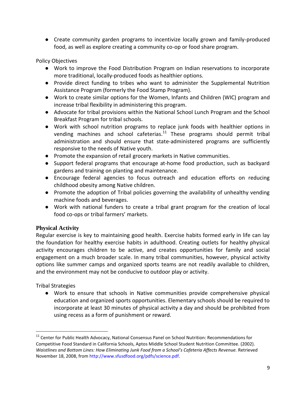● Create community garden programs to incentivize locally grown and family-produced food, as well as explore creating a community co-op or food share program.

Policy Objectives

- Work to improve the Food Distribution Program on Indian reservations to incorporate more traditional, locally‐produced foods as healthier options.
- Provide direct funding to tribes who want to administer the Supplemental Nutrition Assistance Program (formerly the Food Stamp Program).
- Work to create similar options for the Women, Infants and Children (WIC) program and increase tribal flexibility in administering this program.
- Advocate for tribal provisions within the National School Lunch Program and the School Breakfast Program for tribal schools.
- Work with school nutrition programs to replace junk foods with healthier options in vending machines and school cafeterias. $11$  These programs should permit tribal administration and should ensure that state‐administered programs are sufficiently responsive to the needs of Native youth.
- Promote the expansion of retail grocery markets in Native communities.
- Support federal programs that encourage at-home food production, such as backyard gardens and training on planting and maintenance.
- Encourage federal agencies to focus outreach and education efforts on reducing childhood obesity among Native children.
- Promote the adoption of Tribal policies governing the availability of unhealthy vending machine foods and beverages.
- Work with national funders to create a tribal grant program for the creation of local food co-ops or tribal farmers' markets.

## **Physical Activity**

Regular exercise is key to maintaining good health. Exercise habits formed early in life can lay the foundation for healthy exercise habits in adulthood. Creating outlets for healthy physical activity encourages children to be active, and creates opportunities for family and social engagement on a much broader scale. In many tribal communities, however, physical activity options like summer camps and organized sports teams are not readily available to children, and the environment may not be conducive to outdoor play or activity.

Tribal Strategies

 $\overline{\phantom{a}}$ 

● Work to ensure that schools in Native communities provide comprehensive physical education and organized sports opportunities. Elementary schools should be required to incorporate at least 30 minutes of physical activity a day and should be prohibited from using recess as a form of punishment or reward.

<sup>&</sup>lt;sup>11</sup> Center for Public Health Advocacy, National Consensus Panel on School Nutrition: Recommendations for Competitive Food Standard in California Schools, Aptos Middle School Student Nutrition Committee. (2002). *Waistlines and Bottom Lines: How Eliminating Junk Food from a School's Cafeteria Affects Revenue.* Retrieved November 18, 2008, from http://www.sfusdfood.org/pdfs/science.pdf.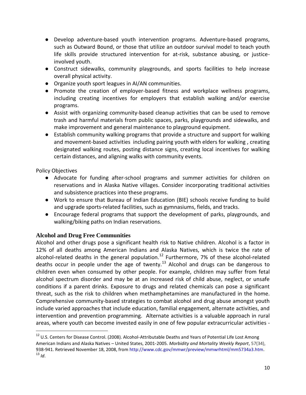- Develop adventure-based youth intervention programs. Adventure-based programs, such as Outward Bound, or those that utilize an outdoor survival model to teach youth life skills provide structured intervention for at-risk, substance abusing, or justiceinvolved youth.
- Construct sidewalks, community playgrounds, and sports facilities to help increase overall physical activity.
- Organize youth sport leagues in AI/AN communities.
- Promote the creation of employer-based fitness and workplace wellness programs, including creating incentives for employers that establish walking and/or exercise programs.
- Assist with organizing community-based cleanup activities that can be used to remove trash and harmful materials from public spaces, parks, playgrounds and sidewalks, and make improvement and general maintenance to playground equipment.
- Establish community walking programs that provide a structure and support for walking and movement-based activities including pairing youth with elders for walking , creating designated walking routes, posting distance signs, creating local incentives for walking certain distances, and aligning walks with community events.

 $\overline{\phantom{a}}$ 

- Advocate for funding after-school programs and summer activities for children on reservations and in Alaska Native villages. Consider incorporating traditional activities and subsistence practices into these programs.
- Work to ensure that Bureau of Indian Education (BIE) schools receive funding to build and upgrade sports‐related facilities, such as gymnasiums, fields, and tracks.
- Encourage federal programs that support the development of parks, playgrounds, and walking/biking paths on Indian reservations.

# **Alcohol and Drug Free Communities**

Alcohol and other drugs pose a significant health risk to Native children. Alcohol is a factor in 12% of all deaths among American Indians and Alaska Natives, which is twice the rate of alcohol-related deaths in the general population.<sup>12</sup> Furthermore, 7% of these alcohol-related deaths occur in people under the age of twenty.<sup>13</sup> Alcohol and drugs can be dangerous to children even when consumed by other people. For example, children may suffer from fetal alcohol spectrum disorder and may be at an increased risk of child abuse, neglect, or unsafe conditions if a parent drinks. Exposure to drugs and related chemicals can pose a significant threat, such as the risk to children when methamphetamines are manufactured in the home. Comprehensive community-based strategies to combat alcohol and drug abuse amongst youth include varied approaches that include education, familial engagement, alternate activities, and intervention and prevention programming. Alternate activities is a valuable approach in rural areas, where youth can become invested easily in one of few popular extracurricular activities -

<sup>&</sup>lt;sup>12</sup> U.S. Centers for Disease Control. (2008). Alcohol-Attributable Deaths and Years of Potential Life Lost Among American Indians and Alaska Natives – United States, 2001‐2005. *Morbidity and Mortality Weekly Report*, 57(34), 938‐941. Retrieved November 18, 2008, from http://www.cdc.gov/mmwr/preview/mmwrhtml/mm5734a3.htm. <sup>13</sup> *Id*.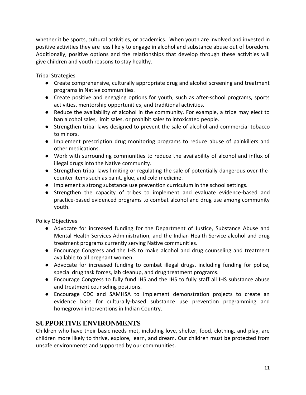whether it be sports, cultural activities, or academics. When youth are involved and invested in positive activities they are less likely to engage in alcohol and substance abuse out of boredom. Additionally, positive options and the relationships that develop through these activities will give children and youth reasons to stay healthy.

Tribal Strategies

- Create comprehensive, culturally appropriate drug and alcohol screening and treatment programs in Native communities.
- Create positive and engaging options for youth, such as after-school programs, sports activities, mentorship opportunities, and traditional activities.
- Reduce the availability of alcohol in the community. For example, a tribe may elect to ban alcohol sales, limit sales, or prohibit sales to intoxicated people.
- Strengthen tribal laws designed to prevent the sale of alcohol and commercial tobacco to minors.
- Implement prescription drug monitoring programs to reduce abuse of painkillers and other medications.
- Work with surrounding communities to reduce the availability of alcohol and influx of illegal drugs into the Native community.
- Strengthen tribal laws limiting or regulating the sale of potentially dangerous over-thecounter items such as paint, glue, and cold medicine.
- Implement a strong substance use prevention curriculum in the school settings.
- Strengthen the capacity of tribes to implement and evaluate evidence-based and practice-based evidenced programs to combat alcohol and drug use among community youth.

Policy Objectives

- Advocate for increased funding for the Department of Justice, Substance Abuse and Mental Health Services Administration, and the Indian Health Service alcohol and drug treatment programs currently serving Native communities.
- Encourage Congress and the IHS to make alcohol and drug counseling and treatment available to all pregnant women.
- Advocate for increased funding to combat illegal drugs, including funding for police, special drug task forces, lab cleanup, and drug treatment programs.
- Encourage Congress to fully fund IHS and the IHS to fully staff all IHS substance abuse and treatment counseling positions.
- Encourage CDC and SAMHSA to implement demonstration projects to create an evidence base for culturally-based substance use prevention programming and homegrown interventions in Indian Country.

# **SUPPORTIVE ENVIRONMENTS**

Children who have their basic needs met, including love, shelter, food, clothing, and play, are children more likely to thrive, explore, learn, and dream. Our children must be protected from unsafe environments and supported by our communities.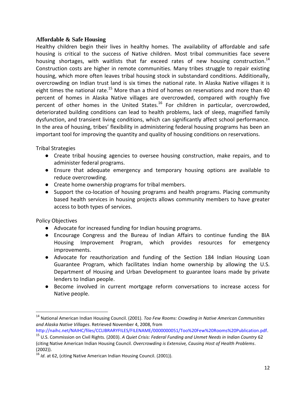#### **Affordable & Safe Housing**

Healthy children begin their lives in healthy homes. The availability of affordable and safe housing is critical to the success of Native children. Most tribal communities face severe housing shortages, with waitlists that far exceed rates of new housing construction.<sup>14</sup> Construction costs are higher in remote communities. Many tribes struggle to repair existing housing, which more often leaves tribal housing stock in substandard conditions. Additionally, overcrowding on Indian trust land is six times the national rate. In Alaska Native villages it is eight times the national rate.<sup>15</sup> More than a third of homes on reservations and more than 40 percent of homes in Alaska Native villages are overcrowded, compared with roughly five percent of other homes in the United States.<sup>16</sup> For children in particular, overcrowded, deteriorated building conditions can lead to health problems, lack of sleep, magnified family dysfunction, and transient living conditions, which can significantly affect school performance. In the area of housing, tribes' flexibility in administering federal housing programs has been an important tool for improving the quantity and quality of housing conditions on reservations.

Tribal Strategies

- Create tribal housing agencies to oversee housing construction, make repairs, and to administer federal programs.
- Ensure that adequate emergency and temporary housing options are available to reduce overcrowding.
- Create home ownership programs for tribal members.
- Support the co-location of housing programs and health programs. Placing community based health services in housing projects allows community members to have greater access to both types of services.

Policy Objectives

- Advocate for increased funding for Indian housing programs.
- Encourage Congress and the Bureau of Indian Affairs to continue funding the BIA Housing Improvement Program, which provides resources for emergency improvements.
- Advocate for reauthorization and funding of the Section 184 Indian Housing Loan Guarantee Program, which facilitates Indian home ownership by allowing the U.S. Department of Housing and Urban Development to guarantee loans made by private lenders to Indian people.
- Become involved in current mortgage reform conversations to increase access for Native people.

<sup>14</sup> National American Indian Housing Council. (2001). *Too Few Rooms: Crowding in Native American Communities and Alaska Native Villages*. Retrieved November 4, 2008, from

http://naihc.net/NAIHC/files/CCLIBRARYFILES/FILENAME/0000000051/Too%20Few%20Rooms%20Publication.pdf.

<sup>15</sup> U.S. Commission on Civil Rights. (2003). *A Quiet Crisis: Federal Funding and Unmet Needs in Indian Country* 62 (citing Native American Indian Housing Council. *Overcrowding is Extensive, Causing Host of Health Problems*. (2002)).

<sup>16</sup> *Id.* at 62, (citing Native American Indian Housing Council. (2001)).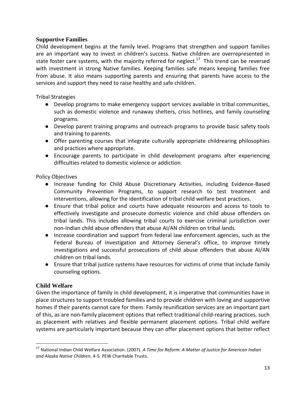#### **Supportive Families**

Child development begins at the family level. Programs that strengthen and support families are an important way to invest in children's success. Native children are overrepresented in state foster care systems, with the majority referred for neglect.<sup>17</sup> This trend can be reversed with investment in strong Native families. Keeping families safe means keeping families free from abuse. It also means supporting parents and ensuring that parents have access to the services and support they need to raise healthy and safe children.

Tribal Strategies

- Develop programs to make emergency support services available in tribal communities, such as domestic violence and runaway shelters, crisis hotlines, and family counseling programs.
- Develop parent training programs and outreach programs to provide basic safety tools and training to parents.
- Offer parenting courses that integrate culturally appropriate childrearing philosophies and practices where appropriate.
- Encourage parents to participate in child development programs after experiencing difficulties related to domestic violence or addiction.

Policy Objectives

- Increase funding for Child Abuse Discretionary Activities, including Evidence-Based Community Prevention Programs, to support research to test treatment and interventions, allowing for the identification of tribal child welfare best practices.
- Ensure that tribal police and courts have adequate resources and access to tools to effectively investigate and prosecute domestic violence and child abuse offenders on tribal lands. This includes allowing tribal courts to exercise criminal jurisdiction over non-Indian child abuse offenders that abuse AI/AN children on tribal lands.
- Increase coordination and support from federal law enforcement agencies, such as the Federal Bureau of Investigation and Attorney General's office, to improve timely investigations and successful prosecutions of child abuse offenders that abuse AI/AN children on tribal lands.
- Ensure that tribal justice systems have resources for victims of crime that include family counseling options.

## **Child Welfare**

 $\overline{\phantom{a}}$ 

Given the importance of family in child development, it is imperative that communities have in place structures to support troubled families and to provide children with loving and supportive homes if their parents cannot care for them. Family reunification services are an important part of this, as are non‐family placement options that reflect traditional child‐rearing practices, such as placement with relatives and flexible permanent placement options. Tribal child welfare systems are particularly important because they can offer placement options that better reflect

<sup>17</sup> National Indian Child Welfare Association. (2007). *A Time for Reform: A Matter of Justice for American Indian and Alaska Native Children*, 4‐5*.* PEW Charitable Trusts.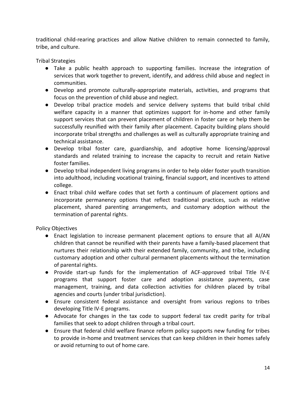traditional child‐rearing practices and allow Native children to remain connected to family, tribe, and culture.

Tribal Strategies

- Take a public health approach to supporting families. Increase the integration of services that work together to prevent, identify, and address child abuse and neglect in communities.
- Develop and promote culturally-appropriate materials, activities, and programs that focus on the prevention of child abuse and neglect.
- Develop tribal practice models and service delivery systems that build tribal child welfare capacity in a manner that optimizes support for in-home and other family support services that can prevent placement of children in foster care or help them be successfully reunified with their family after placement. Capacity building plans should incorporate tribal strengths and challenges as well as culturally appropriate training and technical assistance.
- Develop tribal foster care, guardianship, and adoptive home licensing/approval standards and related training to increase the capacity to recruit and retain Native foster families.
- Develop tribal independent living programs in order to help older foster youth transition into adulthood, including vocational training, financial support, and incentives to attend college.
- Enact tribal child welfare codes that set forth a continuum of placement options and incorporate permanency options that reflect traditional practices, such as relative placement, shared parenting arrangements, and customary adoption without the termination of parental rights.

Policy Objectives

- Enact legislation to increase permanent placement options to ensure that all AI/AN children that cannot be reunified with their parents have a family-based placement that nurtures their relationship with their extended family, community, and tribe, including customary adoption and other cultural permanent placements without the termination of parental rights.
- Provide start-up funds for the implementation of ACF-approved tribal Title IV‐E programs that support foster care and adoption assistance payments, case management, training, and data collection activities for children placed by tribal agencies and courts (under tribal jurisdiction).
- Ensure consistent federal assistance and oversight from various regions to tribes developing Title IV-E programs.
- Advocate for changes in the tax code to support federal tax credit parity for tribal families that seek to adopt children through a tribal court.
- Ensure that federal child welfare finance reform policy supports new funding for tribes to provide in-home and treatment services that can keep children in their homes safely or avoid returning to out of home care.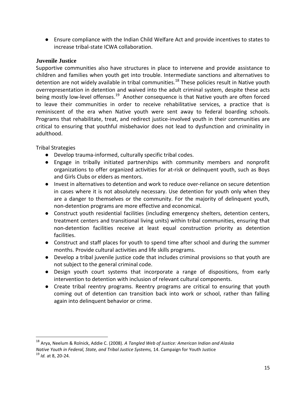● Ensure compliance with the Indian Child Welfare Act and provide incentives to states to increase tribal-state ICWA collaboration.

#### **Juvenile Justice**

Supportive communities also have structures in place to intervene and provide assistance to children and families when youth get into trouble. Intermediate sanctions and alternatives to detention are not widely available in tribal communities.<sup>18</sup> These policies result in Native youth overrepresentation in detention and waived into the adult criminal system, despite these acts being mostly low-level offenses.<sup>19</sup> Another consequence is that Native youth are often forced to leave their communities in order to receive rehabilitative services, a practice that is reminiscent of the era when Native youth were sent away to federal boarding schools. Programs that rehabilitate, treat, and redirect justice-involved youth in their communities are critical to ensuring that youthful misbehavior does not lead to dysfunction and criminality in adulthood.

Tribal Strategies

- Develop trauma-informed, culturally specific tribal codes.
- Engage in tribally initiated partnerships with community members and nonprofit organizations to offer organized activities for at‐risk or delinquent youth, such as Boys and Girls Clubs or elders as mentors.
- Invest in alternatives to detention and work to reduce over-reliance on secure detention in cases where it is not absolutely necessary. Use detention for youth only when they are a danger to themselves or the community. For the majority of delinquent youth, non‐detention programs are more effective and economical.
- Construct youth residential facilities (including emergency shelters, detention centers, treatment centers and transitional living units) within tribal communities, ensuring that non‐detention facilities receive at least equal construction priority as detention facilities.
- Construct and staff places for youth to spend time after school and during the summer months. Provide cultural activities and life skills programs.
- Develop a tribal juvenile justice code that includes criminal provisions so that youth are not subject to the general criminal code.
- Design youth court systems that incorporate a range of dispositions, from early intervention to detention with inclusion of relevant cultural components.
- Create tribal reentry programs. Reentry programs are critical to ensuring that youth coming out of detention can transition back into work or school, rather than falling again into delinquent behavior or crime.

l

<sup>18</sup> Arya, Neelum & Rolnick, Addie C. (2008). *A Tangled Web of Justice: American Indian and Alaska Native Youth in Federal, State, and Tribal Justice Systems,* 14. Campaign for Youth Justice

<sup>19</sup> *Id.* at 8, 20‐24.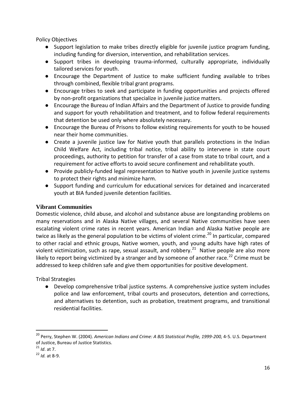- Support legislation to make tribes directly eligible for juvenile justice program funding, including funding for diversion, intervention, and rehabilitation services.
- Support tribes in developing trauma-informed, culturally appropriate, individually tailored services for youth.
- Encourage the Department of Justice to make sufficient funding available to tribes through combined, flexible tribal grant programs.
- Encourage tribes to seek and participate in funding opportunities and projects offered by non‐profit organizations that specialize in juvenile justice matters.
- Encourage the Bureau of Indian Affairs and the Department of Justice to provide funding and support for youth rehabilitation and treatment, and to follow federal requirements that detention be used only where absolutely necessary.
- Encourage the Bureau of Prisons to follow existing requirements for youth to be housed near their home communities.
- Create a juvenile justice law for Native youth that parallels protections in the Indian Child Welfare Act, including tribal notice, tribal ability to intervene in state court proceedings, authority to petition for transfer of a case from state to tribal court, and a requirement for active efforts to avoid secure confinement and rehabilitate youth.
- Provide publicly-funded legal representation to Native youth in juvenile justice systems to protect their rights and minimize harm.
- Support funding and curriculum for educational services for detained and incarcerated youth at BIA funded juvenile detention facilities.

#### **Vibrant Communities**

Domestic violence, child abuse, and alcohol and substance abuse are longstanding problems on many reservations and in Alaska Native villages, and several Native communities have seen escalating violent crime rates in recent years. American Indian and Alaska Native people are twice as likely as the general population to be victims of violent crime.<sup>20</sup> In particular, compared to other racial and ethnic groups, Native women, youth, and young adults have high rates of violent victimization, such as rape, sexual assault, and robbery.<sup>21</sup> Native people are also more likely to report being victimized by a stranger and by someone of another race.<sup>22</sup> Crime must be addressed to keep children safe and give them opportunities for positive development.

Tribal Strategies

● Develop comprehensive tribal justice systems. A comprehensive justice system includes police and law enforcement, tribal courts and prosecutors, detention and corrections, and alternatives to detention, such as probation, treatment programs, and transitional residential facilities.

<sup>20</sup> Perry, Stephen W. (2004). *American Indians and Crime: A BJS Statistical Profile, 1999‐200,* 4‐5. U.S. Department of Justice, Bureau of Justice Statistics.

<sup>21</sup> *Id*. at 7.

<sup>22</sup> *Id.* at 8‐9.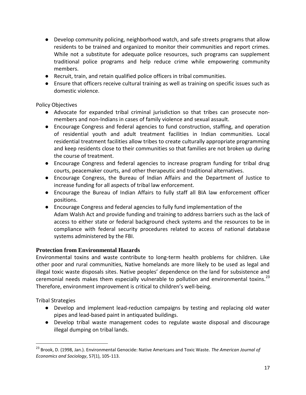- Develop community policing, neighborhood watch, and safe streets programs that allow residents to be trained and organized to monitor their communities and report crimes. While not a substitute for adequate police resources, such programs can supplement traditional police programs and help reduce crime while empowering community members.
- Recruit, train, and retain qualified police officers in tribal communities.
- Ensure that officers receive cultural training as well as training on specific issues such as domestic violence.

- Advocate for expanded tribal criminal jurisdiction so that tribes can prosecute nonmembers and non-Indians in cases of family violence and sexual assault.
- Encourage Congress and federal agencies to fund construction, staffing, and operation of residential youth and adult treatment facilities in Indian communities. Local residential treatment facilities allow tribes to create culturally appropriate programming and keep residents close to their communities so that families are not broken up during the course of treatment.
- Encourage Congress and federal agencies to increase program funding for tribal drug courts, peacemaker courts, and other therapeutic and traditional alternatives.
- Encourage Congress, the Bureau of Indian Affairs and the Department of Justice to increase funding for all aspects of tribal law enforcement.
- Encourage the Bureau of Indian Affairs to fully staff all BIA law enforcement officer positions.
- Encourage Congress and federal agencies to fully fund implementation of the Adam Walsh Act and provide funding and training to address barriers such as the lack of access to either state or federal background check systems and the resources to be in compliance with federal security procedures related to access of national database systems administered by the FBI.

#### **Protection from Environmental Hazards**

Environmental toxins and waste contribute to long‐term health problems for children. Like other poor and rural communities, Native homelands are more likely to be used as legal and illegal toxic waste disposals sites. Native peoples' dependence on the land for subsistence and ceremonial needs makes them especially vulnerable to pollution and environmental toxins.<sup>23</sup> Therefore, environment improvement is critical to children's well‐being.

Tribal Strategies

- Develop and implement lead-reduction campaigns by testing and replacing old water pipes and lead‐based paint in antiquated buildings.
- Develop tribal waste management codes to regulate waste disposal and discourage illegal dumping on tribal lands.

<sup>23</sup> Brook, D. (1998, Jan.). Environmental Genocide: Native Americans and Toxic Waste. *The American Journal of Economics and Sociology*, 57(1), 105‐113.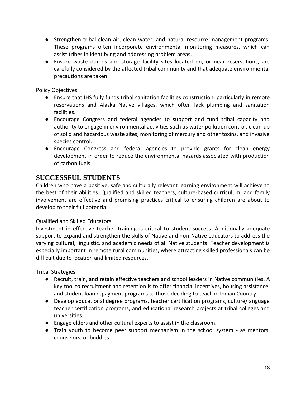- Strengthen tribal clean air, clean water, and natural resource management programs. These programs often incorporate environmental monitoring measures, which can assist tribes in identifying and addressing problem areas.
- Ensure waste dumps and storage facility sites located on, or near reservations, are carefully considered by the affected tribal community and that adequate environmental precautions are taken.

- Ensure that IHS fully funds tribal sanitation facilities construction, particularly in remote reservations and Alaska Native villages, which often lack plumbing and sanitation facilities.
- Encourage Congress and federal agencies to support and fund tribal capacity and authority to engage in environmental activities such as water pollution control, clean‐up of solid and hazardous waste sites, monitoring of mercury and other toxins, and invasive species control.
- Encourage Congress and federal agencies to provide grants for clean energy development in order to reduce the environmental hazards associated with production of carbon fuels.

# **SUCCESSFUL STUDENTS**

Children who have a positive, safe and culturally relevant learning environment will achieve to the best of their abilities. Qualified and skilled teachers, culture-based curriculum, and family involvement are effective and promising practices critical to ensuring children are about to develop to their full potential.

#### Qualified and Skilled Educators

Investment in effective teacher training is critical to student success. Additionally adequate support to expand and strengthen the skills of Native and non-Native educators to address the varying cultural, linguistic, and academic needs of all Native students. Teacher development is especially important in remote rural communities, where attracting skilled professionals can be difficult due to location and limited resources.

Tribal Strategies

- Recruit, train, and retain effective teachers and school leaders in Native communities. A key tool to recruitment and retention is to offer financial incentives, housing assistance, and student loan repayment programs to those deciding to teach in Indian Country.
- Develop educational degree programs, teacher certification programs, culture/language teacher certification programs, and educational research projects at tribal colleges and universities.
- Engage elders and other cultural experts to assist in the classroom.
- Train youth to become peer support mechanism in the school system as mentors, counselors, or buddies.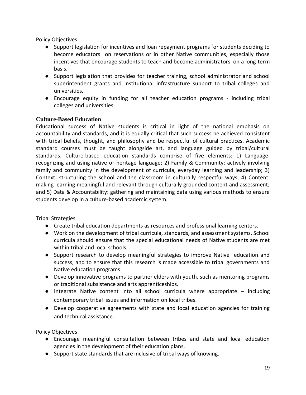- Support legislation for incentives and loan repayment programs for students deciding to become educators on reservations or in other Native communities, especially those incentives that encourage students to teach and become administrators on a long‐term basis.
- Support legislation that provides for teacher training, school administrator and school superintendent grants and institutional infrastructure support to tribal colleges and universities.
- Encourage equity in funding for all teacher education programs including tribal colleges and universities.

## **Culture-Based Education**

Educational success of Native students is critical in light of the national emphasis on accountability and standards, and it is equally critical that such success be achieved consistent with tribal beliefs, thought, and philosophy and be respectful of cultural practices. Academic standard courses must be taught alongside art, and language guided by tribal/cultural standards. Culture-based education standards comprise of five elements: 1) Language: recognizing and using native or heritage language; 2) Family & Community: actively involving family and community in the development of curricula, everyday learning and leadership; 3) Context: structuring the school and the classroom in culturally respectful ways; 4) Content: making learning meaningful and relevant through culturally grounded content and assessment; and 5) Data & Accountability: gathering and maintaining data using various methods to ensure students develop in a culture-based academic system.

Tribal Strategies

- Create tribal education departments as resources and professional learning centers.
- Work on the development of tribal curricula, standards, and assessment systems. School curricula should ensure that the special educational needs of Native students are met within tribal and local schools.
- Support research to develop meaningful strategies to improve Native education and success, and to ensure that this research is made accessible to tribal governments and Native education programs.
- Develop innovative programs to partner elders with youth, such as mentoring programs or traditional subsistence and arts apprenticeships.
- Integrate Native content into all school curricula where appropriate including contemporary tribal issues and information on local tribes.
- Develop cooperative agreements with state and local education agencies for training and technical assistance.

Policy Objectives

- Encourage meaningful consultation between tribes and state and local education agencies in the development of their education plans.
- Support state standards that are inclusive of tribal ways of knowing.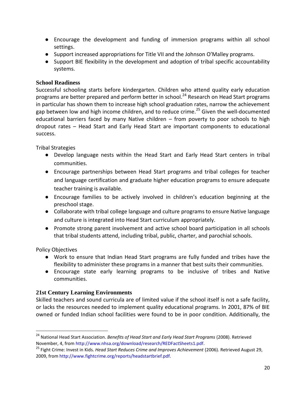- Encourage the development and funding of immersion programs within all school settings.
- Support increased appropriations for Title VII and the Johnson O'Malley programs.
- Support BIE flexibility in the development and adoption of tribal specific accountability systems.

### **School Readiness**

Successful schooling starts before kindergarten. Children who attend quality early education programs are better prepared and perform better in school.<sup>24</sup> Research on Head Start programs in particular has shown them to increase high school graduation rates, narrow the achievement gap between low and high income children, and to reduce crime.<sup>25</sup> Given the well-documented educational barriers faced by many Native children – from poverty to poor schools to high dropout rates – Head Start and Early Head Start are important components to educational success.

Tribal Strategies

- Develop language nests within the Head Start and Early Head Start centers in tribal communities.
- Encourage partnerships between Head Start programs and tribal colleges for teacher and language certification and graduate higher education programs to ensure adequate teacher training is available.
- Encourage families to be actively involved in children's education beginning at the preschool stage.
- Collaborate with tribal college language and culture programs to ensure Native language and culture is integrated into Head Start curriculum appropriately.
- Promote strong parent involvement and active school board participation in all schools that tribal students attend, including tribal, public, charter, and parochial schools.

Policy Objectives

 $\overline{\phantom{a}}$ 

- Work to ensure that Indian Head Start programs are fully funded and tribes have the flexibility to administer these programs in a manner that best suits their communities.
- Encourage state early learning programs to be inclusive of tribes and Native communities.

## **21st Century Learning Environments**

Skilled teachers and sound curricula are of limited value if the school itself is not a safe facility, or lacks the resources needed to implement quality educational programs. In 2001, 87% of BIE owned or funded Indian school facilities were found to be in poor condition. Additionally, the

<sup>24</sup> National Head Start Association. *Benefits of Head Start and Early Head Start Programs* (2008). Retrieved November, 4, from http://www.nhsa.org/download/research/REDFactSheets1.pdf.

<sup>&</sup>lt;sup>25</sup> Fight Crime: Invest in Kids. *Head Start Reduces Crime and Improves Achievement* (2006). Retrieved August 29, 2009, from http://www.fightcrime.org/reports/headstartbrief.pdf.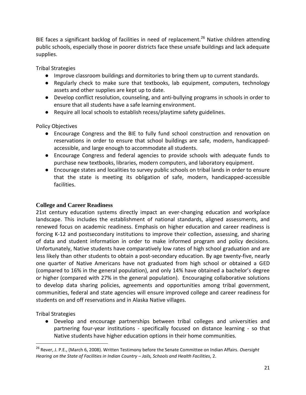BIE faces a significant backlog of facilities in need of replacement.<sup>26</sup> Native children attending public schools, especially those in poorer districts face these unsafe buildings and lack adequate supplies.

Tribal Strategies

- Improve classroom buildings and dormitories to bring them up to current standards.
- Regularly check to make sure that textbooks, lab equipment, computers, technology assets and other supplies are kept up to date.
- Develop conflict resolution, counseling, and anti-bullying programs in schools in order to ensure that all students have a safe learning environment.
- Require all local schools to establish recess/playtime safety guidelines.

Policy Objectives

- Encourage Congress and the BIE to fully fund school construction and renovation on reservations in order to ensure that school buildings are safe, modern, handicapped‐ accessible, and large enough to accommodate all students.
- Encourage Congress and federal agencies to provide schools with adequate funds to purchase new textbooks, libraries, modern computers, and laboratory equipment.
- Encourage states and localities to survey public schools on tribal lands in order to ensure that the state is meeting its obligation of safe, modern, handicapped-accessible facilities.

## **College and Career Readiness**

21st century education systems directly impact an ever-changing education and workplace landscape. This includes the establishment of national standards, aligned assessments, and renewed focus on academic readiness. Emphasis on higher education and career readiness is forcing K-12 and postsecondary institutions to improve their collection, assessing, and sharing of data and student information in order to make informed program and policy decisions. Unfortunately, Native students have comparatively low rates of high school graduation and are less likely than other students to obtain a post-secondary education. By age twenty‐five, nearly one quarter of Native Americans have not graduated from high school or obtained a GED (compared to 16% in the general population), and only 14% have obtained a bachelor's degree or higher (compared with 27% in the general population). Encouraging collaborative solutions to develop data sharing policies, agreements and opportunities among tribal government, communities, federal and state agencies will ensure improved college and career readiness for students on and off reservations and in Alaska Native villages.

Tribal Strategies

 $\overline{\phantom{a}}$ 

● Develop and encourage partnerships between tribal colleges and universities and partnering four-year institutions - specifically focused on distance learning - so that Native students have higher education options in their home communities.

<sup>26</sup> Rever, J. P.E., (March 6, 2008). Written Testimony before the Senate Committee on Indian Affairs. *Oversight Hearing on the State of Facilities in Indian Country – Jails, Schools and Health Facilities*, 2.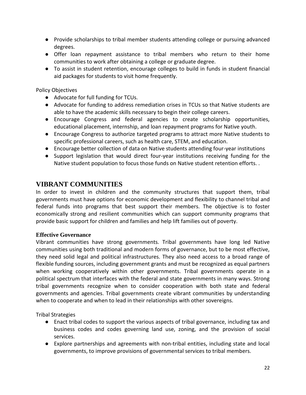- Provide scholarships to tribal member students attending college or pursuing advanced degrees.
- Offer loan repayment assistance to tribal members who return to their home communities to work after obtaining a college or graduate degree.
- To assist in student retention, encourage colleges to build in funds in student financial aid packages for students to visit home frequently.

- Advocate for full funding for TCUs.
- Advocate for funding to address remediation crises in TCUs so that Native students are able to have the academic skills necessary to begin their college careers.
- Encourage Congress and federal agencies to create scholarship opportunities, educational placement, internship, and loan repayment programs for Native youth.
- Encourage Congress to authorize targeted programs to attract more Native students to specific professional careers, such as health care, STEM, and education.
- Encourage better collection of data on Native students attending four-year institutions
- Support legislation that would direct four-year institutions receiving funding for the Native student population to focus those funds on Native student retention efforts. .

# **VIBRANT COMMUNITIES**

In order to invest in children and the community structures that support them, tribal governments must have options for economic development and flexibility to channel tribal and federal funds into programs that best support their members. The objective is to foster economically strong and resilient communities which can support community programs that provide basic support for children and families and help lift families out of poverty.

#### **Effective Governance**

Vibrant communities have strong governments. Tribal governments have long led Native communities using both traditional and modern forms of governance, but to be most effective, they need solid legal and political infrastructures. They also need access to a broad range of flexible funding sources, including government grants and must be recognized as equal partners when working cooperatively within other governments. Tribal governments operate in a political spectrum that interfaces with the federal and state governments in many ways. Strong tribal governments recognize when to consider cooperation with both state and federal governments and agencies. Tribal governments create vibrant communities by understanding when to cooperate and when to lead in their relationships with other sovereigns.

Tribal Strategies

- Enact tribal codes to support the various aspects of tribal governance, including tax and business codes and codes governing land use, zoning, and the provision of social services.
- Explore partnerships and agreements with non-tribal entities, including state and local governments, to improve provisions of governmental services to tribal members.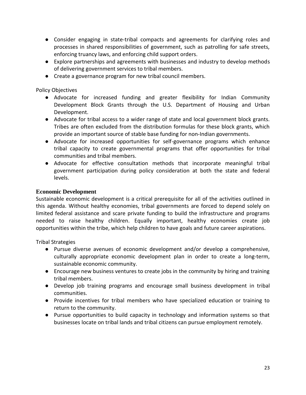- Consider engaging in state-tribal compacts and agreements for clarifying roles and processes in shared responsibilities of government, such as patrolling for safe streets, enforcing truancy laws, and enforcing child support orders.
- Explore partnerships and agreements with businesses and industry to develop methods of delivering government services to tribal members.
- Create a governance program for new tribal council members.

- Advocate for increased funding and greater flexibility for Indian Community Development Block Grants through the U.S. Department of Housing and Urban Development.
- Advocate for tribal access to a wider range of state and local government block grants. Tribes are often excluded from the distribution formulas for these block grants, which provide an important source of stable base funding for non‐Indian governments.
- Advocate for increased opportunities for self-governance programs which enhance tribal capacity to create governmental programs that offer opportunities for tribal communities and tribal members.
- Advocate for effective consultation methods that incorporate meaningful tribal government participation during policy consideration at both the state and federal levels.

#### **Economic Development**

Sustainable economic development is a critical prerequisite for all of the activities outlined in this agenda. Without healthy economies, tribal governments are forced to depend solely on limited federal assistance and scare private funding to build the infrastructure and programs needed to raise healthy children. Equally important, healthy economies create job opportunities within the tribe, which help children to have goals and future career aspirations.

Tribal Strategies

- Pursue diverse avenues of economic development and/or develop a comprehensive, culturally appropriate economic development plan in order to create a long‐term, sustainable economic community.
- Encourage new business ventures to create jobs in the community by hiring and training tribal members.
- Develop job training programs and encourage small business development in tribal communities.
- Provide incentives for tribal members who have specialized education or training to return to the community.
- Pursue opportunities to build capacity in technology and information systems so that businesses locate on tribal lands and tribal citizens can pursue employment remotely.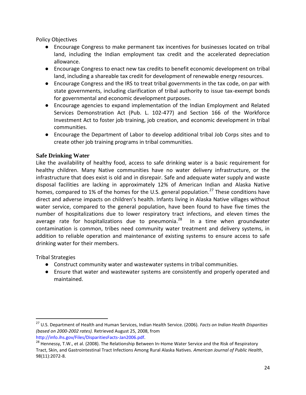- Encourage Congress to make permanent tax incentives for businesses located on tribal land, including the Indian employment tax credit and the accelerated depreciation allowance.
- Encourage Congress to enact new tax credits to benefit economic development on tribal land, including a shareable tax credit for development of renewable energy resources.
- Encourage Congress and the IRS to treat tribal governments in the tax code, on par with state governments, including clarification of tribal authority to issue tax-exempt bonds for governmental and economic development purposes.
- Encourage agencies to expand implementation of the Indian Employment and Related Services Demonstration Act (Pub. L. 102‐477) and Section 166 of the Workforce Investment Act to foster job training, job creation, and economic development in tribal communities.
- Encourage the Department of Labor to develop additional tribal Job Corps sites and to create other job training programs in tribal communities.

#### **Safe Drinking Water**

Like the availability of healthy food, access to safe drinking water is a basic requirement for healthy children. Many Native communities have no water delivery infrastructure, or the infrastructure that does exist is old and in disrepair. Safe and adequate water supply and waste disposal facilities are lacking in approximately 12% of American Indian and Alaska Native homes, compared to 1% of the homes for the U.S. general population.<sup>27</sup> These conditions have direct and adverse impacts on children's health. Infants living in Alaska Native villages without water service, compared to the general population, have been found to have five times the number of hospitalizations due to lower respiratory tract infections, and eleven times the average rate for hospitalizations due to pneumonia.<sup>28</sup> In a time when groundwater contamination is common, tribes need community water treatment and delivery systems, in addition to reliable operation and maintenance of existing systems to ensure access to safe drinking water for their members.

Tribal Strategies

l

- Construct community water and wastewater systems in tribal communities.
- Ensure that water and wastewater systems are consistently and properly operated and maintained.

<sup>27</sup> U.S. Department of Health and Human Services, Indian Health Service. (2006). *Facts on Indian Health Disparities (based on 2000‐2002 rates).* Retrieved August 25, 2008, from http://info.ihs.gov/Files/DisparitiesFacts‐Jan2006.pdf.

<sup>&</sup>lt;sup>28</sup> Hennessy, T.W., et al. (2008). The Relationship Between In-Home Water Service and the Risk of Respiratory Tract, Skin, and Gastrointestinal Tract Infections Among Rural Alaska Natives. *American Journal of Public Health*, 98(11):2072‐8.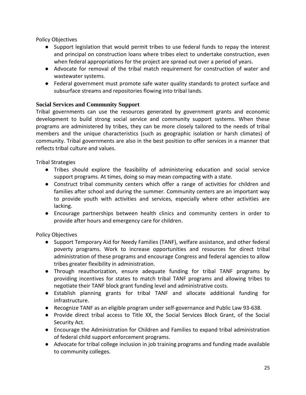- Support legislation that would permit tribes to use federal funds to repay the interest and principal on construction loans where tribes elect to undertake construction, even when federal appropriations for the project are spread out over a period of years.
- Advocate for removal of the tribal match requirement for construction of water and wastewater systems.
- Federal government must promote safe water quality standards to protect surface and subsurface streams and repositories flowing into tribal lands.

## **Social Services and Community Support**

Tribal governments can use the resources generated by government grants and economic development to build strong social service and community support systems. When these programs are administered by tribes, they can be more closely tailored to the needs of tribal members and the unique characteristics (such as geographic isolation or harsh climates) of community. Tribal governments are also in the best position to offer services in a manner that reflects tribal culture and values.

Tribal Strategies

- Tribes should explore the feasibility of administering education and social service support programs. At times, doing so may mean compacting with a state.
- Construct tribal community centers which offer a range of activities for children and families after school and during the summer. Community centers are an important way to provide youth with activities and services, especially where other activities are lacking.
- Encourage partnerships between health clinics and community centers in order to provide after hours and emergency care for children.

Policy Objectives

- Support Temporary Aid for Needy Families (TANF), welfare assistance, and other federal poverty programs. Work to increase opportunities and resources for direct tribal administration of these programs and encourage Congress and federal agencies to allow tribes greater flexibility in administration.
- Through reauthorization, ensure adequate funding for tribal TANF programs by providing incentives for states to match tribal TANF programs and allowing tribes to negotiate their TANF block grant funding level and administrative costs.
- Establish planning grants for tribal TANF and allocate additional funding for infrastructure.
- Recognize TANF as an eligible program under self-governance and Public Law 93-638.
- Provide direct tribal access to Title XX, the Social Services Block Grant, of the Social Security Act.
- Encourage the Administration for Children and Families to expand tribal administration of federal child support enforcement programs.
- Advocate for tribal college inclusion in job training programs and funding made available to community colleges.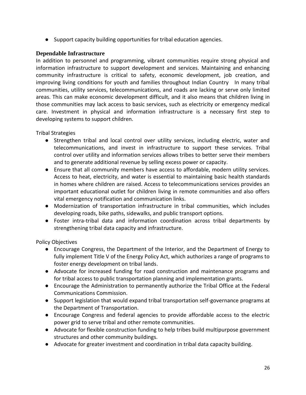● Support capacity building opportunities for tribal education agencies.

#### **Dependable Infrastructure**

In addition to personnel and programming, vibrant communities require strong physical and information infrastructure to support development and services. Maintaining and enhancing community infrastructure is critical to safety, economic development, job creation, and improving living conditions for youth and families throughout Indian Country In many tribal communities, utility services, telecommunications, and roads are lacking or serve only limited areas. This can make economic development difficult, and it also means that children living in those communities may lack access to basic services, such as electricity or emergency medical care. Investment in physical and information infrastructure is a necessary first step to developing systems to support children.

Tribal Strategies

- Strengthen tribal and local control over utility services, including electric, water and telecommunications, and invest in infrastructure to support these services. Tribal control over utility and information services allows tribes to better serve their members and to generate additional revenue by selling excess power or capacity.
- Ensure that all community members have access to affordable, modern utility services. Access to heat, electricity, and water is essential to maintaining basic health standards in homes where children are raised. Access to telecommunications services provides an important educational outlet for children living in remote communities and also offers vital emergency notification and communication links.
- Modernization of transportation infrastructure in tribal communities, which includes developing roads, bike paths, sidewalks, and public transport options.
- Foster intra-tribal data and information coordination across tribal departments by strengthening tribal data capacity and infrastructure.

Policy Objectives

- Encourage Congress, the Department of the Interior, and the Department of Energy to fully implement Title V of the Energy Policy Act, which authorizes a range of programs to foster energy development on tribal lands.
- Advocate for increased funding for road construction and maintenance programs and for tribal access to public transportation planning and implementation grants.
- Encourage the Administration to permanently authorize the Tribal Office at the Federal Communications Commission.
- Support legislation that would expand tribal transportation self-governance programs at the Department of Transportation.
- Encourage Congress and federal agencies to provide affordable access to the electric power grid to serve tribal and other remote communities.
- Advocate for flexible construction funding to help tribes build multipurpose government structures and other community buildings.
- Advocate for greater investment and coordination in tribal data capacity building.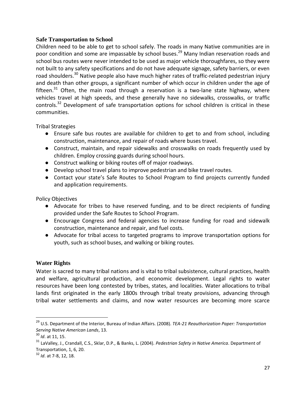#### **Safe Transportation to School**

Children need to be able to get to school safely. The roads in many Native communities are in poor condition and some are impassable by school buses.<sup>29</sup> Many Indian reservation roads and school bus routes were never intended to be used as major vehicle thoroughfares, so they were not built to any safety specifications and do not have adequate signage, safety barriers, or even road shoulders.<sup>30</sup> Native people also have much higher rates of traffic-related pedestrian injury and death than other groups, a significant number of which occur in children under the age of fifteen.<sup>31</sup> Often, the main road through a reservation is a two-lane state highway, where vehicles travel at high speeds, and these generally have no sidewalks, crosswalks, or traffic controls.<sup>32</sup> Development of safe transportation options for school children is critical in these communities.

Tribal Strategies

- Ensure safe bus routes are available for children to get to and from school, including construction, maintenance, and repair of roads where buses travel.
- Construct, maintain, and repair sidewalks and crosswalks on roads frequently used by children. Employ crossing guards during school hours.
- Construct walking or biking routes off of major roadways.
- Develop school travel plans to improve pedestrian and bike travel routes.
- Contact your state's Safe Routes to School Program to find projects currently funded and application requirements.

Policy Objectives

- Advocate for tribes to have reserved funding, and to be direct recipients of funding provided under the Safe Routes to School Program.
- Encourage Congress and federal agencies to increase funding for road and sidewalk construction, maintenance and repair, and fuel costs.
- Advocate for tribal access to targeted programs to improve transportation options for youth, such as school buses, and walking or biking routes.

#### **Water Rights**

Water is sacred to many tribal nations and is vital to tribal subsistence, cultural practices, health and welfare, agricultural production, and economic development. Legal rights to water resources have been long contested by tribes, states, and localities. Water allocations to tribal lands first originated in the early 1800s through tribal treaty provisions, advancing through tribal water settlements and claims, and now water resources are becoming more scarce

<sup>29</sup> U.S. Department of the Interior, Bureau of Indian Affairs*.* (2008). *TEA‐21 Reauthorization Paper: Transportation Serving Native American Lands*, 13.

<sup>30</sup> *Id*. at 11, 15.

<sup>31</sup> LaValley, J., Crandall, C.S., Sklar, D.P., & Banks, L. (2004). *Pedestrian Safety in Native America*. Department of Transportation, 1, 6, 20.

<sup>32</sup> *Id*. at 7‐8, 12, 18.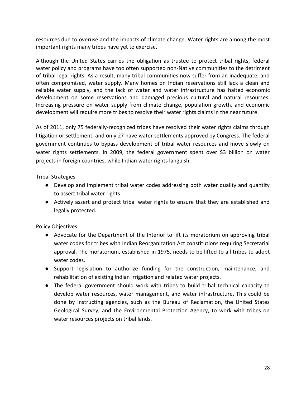resources due to overuse and the impacts of climate change. Water rights are among the most important rights many tribes have yet to exercise.

Although the United States carries the obligation as trustee to protect tribal rights, federal water policy and programs have too often supported non-Native communities to the detriment of tribal legal rights. As a result, many tribal communities now suffer from an inadequate, and often compromised, water supply. Many homes on Indian reservations still lack a clean and reliable water supply, and the lack of water and water infrastructure has halted economic development on some reservations and damaged precious cultural and natural resources. Increasing pressure on water supply from climate change, population growth, and economic development will require more tribes to resolve their water rights claims in the near future.

As of 2011, only 75 federally-recognized tribes have resolved their water rights claims through litigation or settlement, and only 27 have water settlements approved by Congress. The federal government continues to bypass development of tribal water resources and move slowly on water rights settlements. In 2009, the federal government spent over \$3 billion on water projects in foreign countries, while Indian water rights languish.

Tribal Strategies

- Develop and implement tribal water codes addressing both water quality and quantity to assert tribal water rights
- Actively assert and protect tribal water rights to ensure that they are established and legally protected.

Policy Objectives

- Advocate for the Department of the Interior to lift its moratorium on approving tribal water codes for tribes with Indian Reorganization Act constitutions requiring Secretarial approval. The moratorium, established in 1975, needs to be lifted to all tribes to adopt water codes.
- Support legislation to authorize funding for the construction, maintenance, and rehabilitation of existing Indian irrigation and related water projects.
- The federal government should work with tribes to build tribal technical capacity to develop water resources, water management, and water infrastructure. This could be done by instructing agencies, such as the Bureau of Reclamation, the United States Geological Survey, and the Environmental Protection Agency, to work with tribes on water resources projects on tribal lands.